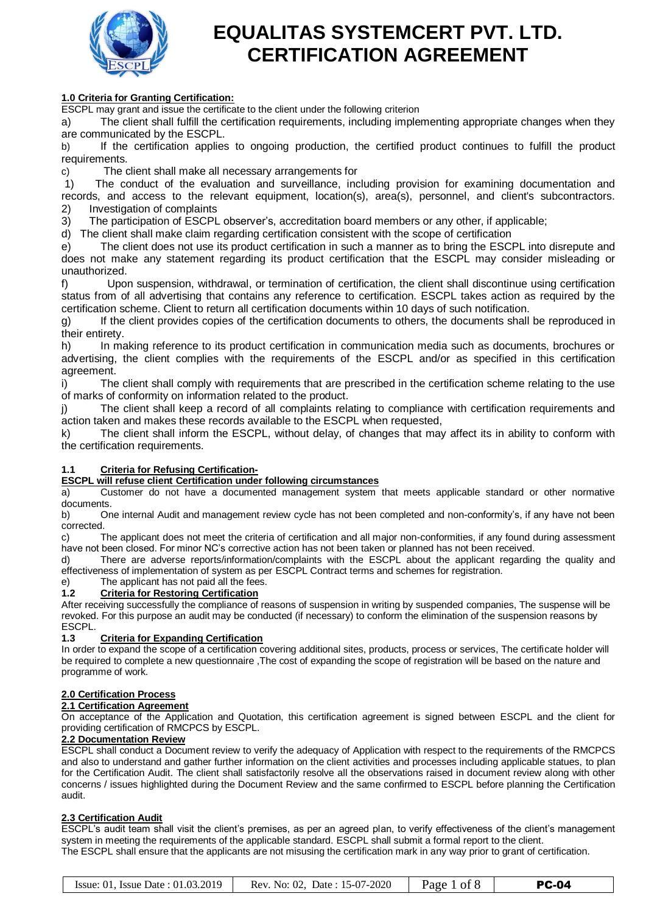

# **1.0 Criteria for Granting Certification:**

ESCPL may grant and issue the certificate to the client under the following criterion

a) The client shall fulfill the certification requirements, including implementing appropriate changes when they are communicated by the ESCPL.

b) If the certification applies to ongoing production, the certified product continues to fulfill the product requirements.

c) The client shall make all necessary arrangements for

1) The conduct of the evaluation and surveillance, including provision for examining documentation and records, and access to the relevant equipment, location(s), area(s), personnel, and client's subcontractors. 2) Investigation of complaints

3) The participation of ESCPL observer's, accreditation board members or any other, if applicable;

d) The client shall make claim regarding certification consistent with the scope of certification

e) The client does not use its product certification in such a manner as to bring the ESCPL into disrepute and does not make any statement regarding its product certification that the ESCPL may consider misleading or unauthorized.

f) Upon suspension, withdrawal, or termination of certification, the client shall discontinue using certification status from of all advertising that contains any reference to certification. ESCPL takes action as required by the certification scheme. Client to return all certification documents within 10 days of such notification.

g) If the client provides copies of the certification documents to others, the documents shall be reproduced in their entirety.

h) In making reference to its product certification in communication media such as documents, brochures or advertising, the client complies with the requirements of the ESCPL and/or as specified in this certification agreement.

i) The client shall comply with requirements that are prescribed in the certification scheme relating to the use of marks of conformity on information related to the product.

j) The client shall keep a record of all complaints relating to compliance with certification requirements and action taken and makes these records available to the ESCPL when requested,

k) The client shall inform the ESCPL, without delay, of changes that may affect its in ability to conform with the certification requirements.

## **1.1 Criteria for Refusing Certification-**

# **ESCPL will refuse client Certification under following circumstances**

a) Customer do not have a documented management system that meets applicable standard or other normative documents.

b) One internal Audit and management review cycle has not been completed and non-conformity's, if any have not been corrected.

c) The applicant does not meet the criteria of certification and all major non-conformities, if any found during assessment have not been closed. For minor NC's corrective action has not been taken or planned has not been received.

d) There are adverse reports/information/complaints with the ESCPL about the applicant regarding the quality and effectiveness of implementation of system as per ESCPL Contract terms and schemes for registration.

e) The applicant has not paid all the fees.

## **1.2 Criteria for Restoring Certification**

After receiving successfully the compliance of reasons of suspension in writing by suspended companies, The suspense will be revoked. For this purpose an audit may be conducted (if necessary) to conform the elimination of the suspension reasons by ESCPL.

**1.3 Criteria for Expanding Certification**

In order to expand the scope of a certification covering additional sites, products, process or services, The certificate holder will be required to complete a new questionnaire ,The cost of expanding the scope of registration will be based on the nature and programme of work.

## **2.0 Certification Process**

## **2.1 Certification Agreement**

On acceptance of the Application and Quotation, this certification agreement is signed between ESCPL and the client for providing certification of RMCPCS by ESCPL.

# **2.2 Documentation Review**

ESCPL shall conduct a Document review to verify the adequacy of Application with respect to the requirements of the RMCPCS and also to understand and gather further information on the client activities and processes including applicable statues, to plan for the Certification Audit. The client shall satisfactorily resolve all the observations raised in document review along with other concerns / issues highlighted during the Document Review and the same confirmed to ESCPL before planning the Certification audit.

## **2.3 Certification Audit**

ESCPL's audit team shall visit the client's premises, as per an agreed plan, to verify effectiveness of the client's management system in meeting the requirements of the applicable standard. ESCPL shall submit a formal report to the client.

The ESCPL shall ensure that the applicants are not misusing the certification mark in any way prior to grant of certification.

| <b>Issue: 01. Issue Date: 01.03.2019</b> | Rev. No: 02. Date: 15-07-2020 | Page 1 of 8 | <b>PC-04</b> |
|------------------------------------------|-------------------------------|-------------|--------------|
|------------------------------------------|-------------------------------|-------------|--------------|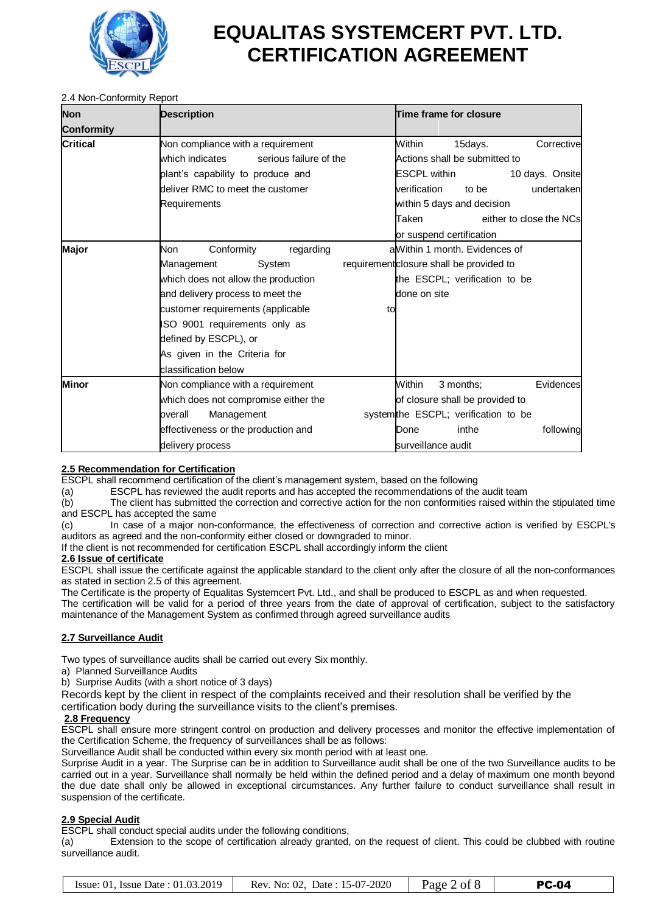

2.4 Non-Conformity Report

| <b>Non</b>        | <b>Description</b>                        |    | Time frame for closure   |                                          |                         |
|-------------------|-------------------------------------------|----|--------------------------|------------------------------------------|-------------------------|
| <b>Conformity</b> |                                           |    |                          |                                          |                         |
| <b>Critical</b>   | Non compliance with a requirement         |    | Within                   | 15days.                                  | Corrective              |
|                   | serious failure of the<br>which indicates |    |                          | Actions shall be submitted to            |                         |
|                   | plant's capability to produce and         |    | ESCPL within             |                                          | 10 days. Onsite         |
|                   | deliver RMC to meet the customer          |    | verification             | to be                                    | undertaken              |
|                   | Requirements                              |    |                          | within 5 days and decision               |                         |
|                   |                                           |    | Taken                    |                                          | either to close the NCs |
|                   |                                           |    | or suspend certification |                                          |                         |
| Major             | Conformity<br>regarding<br>Non            |    |                          | aWithin 1 month. Evidences of            |                         |
|                   | System<br>Management                      |    |                          | requirement closure shall be provided to |                         |
|                   | which does not allow the production       |    |                          | the ESCPL; verification to be            |                         |
|                   | and delivery process to meet the          |    | done on site             |                                          |                         |
|                   | customer requirements (applicable         | to |                          |                                          |                         |
|                   | ISO 9001 requirements only as             |    |                          |                                          |                         |
|                   | defined by ESCPL), or                     |    |                          |                                          |                         |
|                   | As given in the Criteria for              |    |                          |                                          |                         |
|                   | classification below                      |    |                          |                                          |                         |
| <b>Minor</b>      | Non compliance with a requirement         |    | Within                   | 3 months:                                | Evidences               |
|                   | which does not compromise either the      |    |                          | of closure shall be provided to          |                         |
|                   | Management<br>overall                     |    |                          | system the ESCPL; verification to be     |                         |
|                   | effectiveness or the production and       |    | Done                     | inthe                                    | following               |
|                   | delivery process                          |    | surveillance audit       |                                          |                         |

# **2.5 Recommendation for Certification**

ESCPL shall recommend certification of the client's management system, based on the following

(a) ESCPL has reviewed the audit reports and has accepted the recommendations of the audit team

(b) The client has submitted the correction and corrective action for the non conformities raised within the stipulated time

and ESCPL has accepted the same

(c) In case of a major non-conformance, the effectiveness of correction and corrective action is verified by ESCPL's auditors as agreed and the non-conformity either closed or downgraded to minor.

If the client is not recommended for certification ESCPL shall accordingly inform the client

## **2.6 Issue of certificate**

ESCPL shall issue the certificate against the applicable standard to the client only after the closure of all the non-conformances as stated in section 2.5 of this agreement.

The Certificate is the property of Equalitas Systemcert Pvt. Ltd., and shall be produced to ESCPL as and when requested.

The certification will be valid for a period of three years from the date of approval of certification, subject to the satisfactory maintenance of the Management System as confirmed through agreed surveillance audits

# **2.7 Surveillance Audit**

Two types of surveillance audits shall be carried out every Six monthly.

a) Planned Surveillance Audits

b) Surprise Audits (with a short notice of 3 days)

Records kept by the client in respect of the complaints received and their resolution shall be verified by the certification body during the surveillance visits to the client's premises.

# **2.8 Frequency**

ESCPL shall ensure more stringent control on production and delivery processes and monitor the effective implementation of the Certification Scheme, the frequency of surveillances shall be as follows:

Surveillance Audit shall be conducted within every six month period with at least one.

Surprise Audit in a year. The Surprise can be in addition to Surveillance audit shall be one of the two Surveillance audits to be carried out in a year. Surveillance shall normally be held within the defined period and a delay of maximum one month beyond the due date shall only be allowed in exceptional circumstances. Any further failure to conduct surveillance shall result in suspension of the certificate.

# **2.9 Special Audit**

ESCPL shall conduct special audits under the following conditions,

(a) Extension to the scope of certification already granted, on the request of client. This could be clubbed with routine surveillance audit.

| <b>Issue: 01. Issue Date: 01.03.2019</b> | Rev. No: 02. Date: 15-07-2020 | Page 2 of 8 | <b>PC-04</b> |
|------------------------------------------|-------------------------------|-------------|--------------|
|------------------------------------------|-------------------------------|-------------|--------------|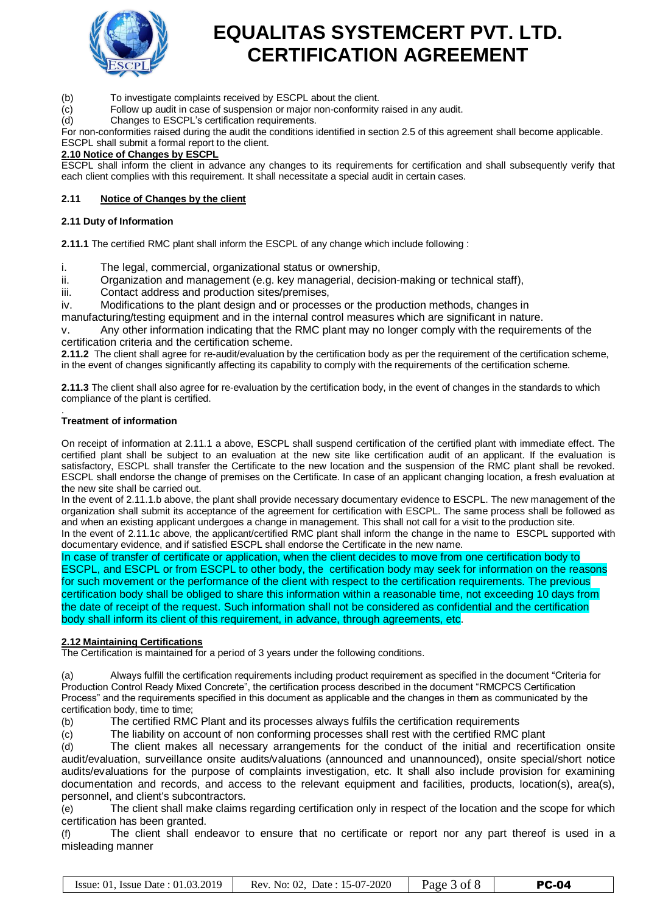

(b) To investigate complaints received by ESCPL about the client.

(c) Follow up audit in case of suspension or major non-conformity raised in any audit.

(d) Changes to ESCPL's certification requirements.

For non-conformities raised during the audit the conditions identified in section 2.5 of this agreement shall become applicable. ESCPL shall submit a formal report to the client.

**2.10 Notice of Changes by ESCPL**

ESCPL shall inform the client in advance any changes to its requirements for certification and shall subsequently verify that each client complies with this requirement. It shall necessitate a special audit in certain cases.

## **2.11 Notice of Changes by the client**

## **2.11 Duty of Information**

**2.11.1** The certified RMC plant shall inform the ESCPL of any change which include following :

i. The legal, commercial, organizational status or ownership,

ii. Organization and management (e.g. key managerial, decision-making or technical staff),

iii. Contact address and production sites/premises,

iv. Modifications to the plant design and or processes or the production methods, changes in

manufacturing/testing equipment and in the internal control measures which are significant in nature.

v. Any other information indicating that the RMC plant may no longer comply with the requirements of the certification criteria and the certification scheme.

**2.11.2** The client shall agree for re-audit/evaluation by the certification body as per the requirement of the certification scheme, in the event of changes significantly affecting its capability to comply with the requirements of the certification scheme.

**2.11.3** The client shall also agree for re-evaluation by the certification body, in the event of changes in the standards to which compliance of the plant is certified.

#### . **Treatment of information**

On receipt of information at 2.11.1 a above, ESCPL shall suspend certification of the certified plant with immediate effect. The certified plant shall be subject to an evaluation at the new site like certification audit of an applicant. If the evaluation is satisfactory, ESCPL shall transfer the Certificate to the new location and the suspension of the RMC plant shall be revoked. ESCPL shall endorse the change of premises on the Certificate. In case of an applicant changing location, a fresh evaluation at the new site shall be carried out.

In the event of 2.11.1.b above, the plant shall provide necessary documentary evidence to ESCPL. The new management of the organization shall submit its acceptance of the agreement for certification with ESCPL. The same process shall be followed as and when an existing applicant undergoes a change in management. This shall not call for a visit to the production site.

In the event of 2.11.1c above, the applicant/certified RMC plant shall inform the change in the name to ESCPL supported with documentary evidence, and if satisfied ESCPL shall endorse the Certificate in the new name.

In case of transfer of certificate or application, when the client decides to move from one certification body to ESCPL, and ESCPL or from ESCPL to other body, the certification body may seek for information on the reasons for such movement or the performance of the client with respect to the certification requirements. The previous certification body shall be obliged to share this information within a reasonable time, not exceeding 10 days from the date of receipt of the request. Such information shall not be considered as confidential and the certification body shall inform its client of this requirement, in advance, through agreements, etc.

## **2.12 Maintaining Certifications**

The Certification is maintained for a period of 3 years under the following conditions.

(a) Always fulfill the certification requirements including product requirement as specified in the document "Criteria for Production Control Ready Mixed Concrete", the certification process described in the document "RMCPCS Certification Process" and the requirements specified in this document as applicable and the changes in them as communicated by the certification body, time to time;

(b) The certified RMC Plant and its processes always fulfils the certification requirements

(c) The liability on account of non conforming processes shall rest with the certified RMC plant

(d) The client makes all necessary arrangements for the conduct of the initial and recertification onsite audit/evaluation, surveillance onsite audits/valuations (announced and unannounced), onsite special/short notice audits/evaluations for the purpose of complaints investigation, etc. It shall also include provision for examining documentation and records, and access to the relevant equipment and facilities, products, location(s), area(s), personnel, and client's subcontractors.

(e) The client shall make claims regarding certification only in respect of the location and the scope for which certification has been granted.

(f) The client shall endeavor to ensure that no certificate or report nor any part thereof is used in a misleading manner

| Issue: 01. Issue Date : $01.03.2019$ | Rev. No: 02. Date: 15-07-2020 | Page 3 of 8 | <b>PC-04</b> |
|--------------------------------------|-------------------------------|-------------|--------------|
|--------------------------------------|-------------------------------|-------------|--------------|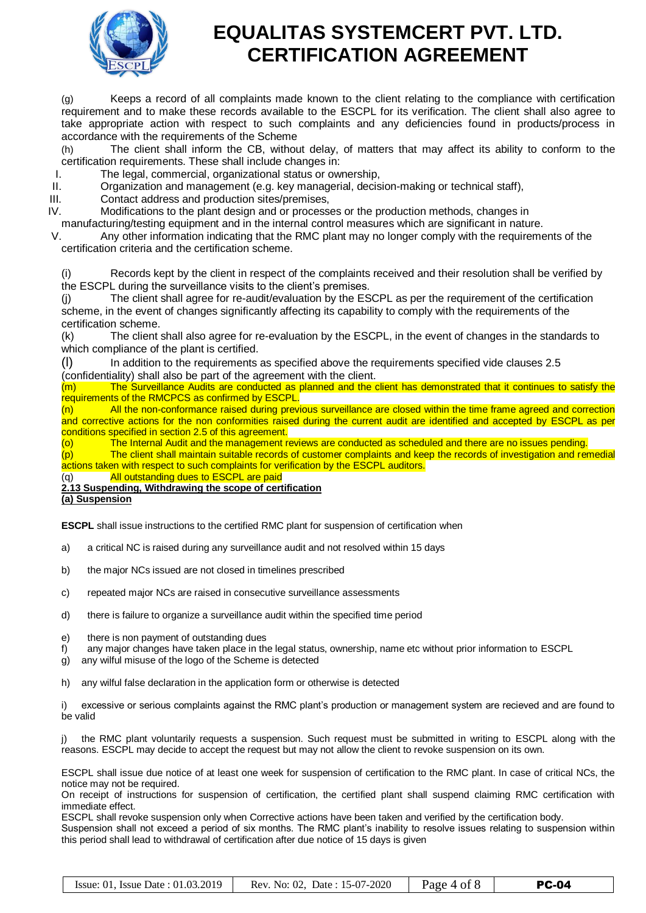

(g) Keeps a record of all complaints made known to the client relating to the compliance with certification requirement and to make these records available to the ESCPL for its verification. The client shall also agree to take appropriate action with respect to such complaints and any deficiencies found in products/process in accordance with the requirements of the Scheme

(h) The client shall inform the CB, without delay, of matters that may affect its ability to conform to the certification requirements. These shall include changes in:

I. The legal, commercial, organizational status or ownership,

II. Organization and management (e.g. key managerial, decision-making or technical staff),

III. Contact address and production sites/premises,<br>IV Modifications to the plant design and or process

Modifications to the plant design and or processes or the production methods, changes in

manufacturing/testing equipment and in the internal control measures which are significant in nature.

V. Any other information indicating that the RMC plant may no longer comply with the requirements of the certification criteria and the certification scheme.

(i) Records kept by the client in respect of the complaints received and their resolution shall be verified by the ESCPL during the surveillance visits to the client's premises.

(j) The client shall agree for re-audit/evaluation by the ESCPL as per the requirement of the certification scheme, in the event of changes significantly affecting its capability to comply with the requirements of the certification scheme.

(k) The client shall also agree for re-evaluation by the ESCPL, in the event of changes in the standards to which compliance of the plant is certified.

(l) In addition to the requirements as specified above the requirements specified vide clauses 2.5

(confidentiality) shall also be part of the agreement with the client.  $\overline{m}$  The Surveillance Audits are conducted as planned and the client has demonstrated that it continues to satisfy the requirements of the RMCPCS as confirmed by ESCPL.

(n) All the non-conformance raised during previous surveillance are closed within the time frame agreed and correction and corrective actions for the non conformities raised during the current audit are identified and accepted by ESCPL as per conditions specified in section 2.5 of this agreement.

(o) The Internal Audit and the management reviews are conducted as scheduled and there are no issues pending.

(p) The client shall maintain suitable records of customer complaints and keep the records of investigation and remedial actions taken with respect to such complaints for verification by the ESCPL auditors.

(q) All outstanding dues to ESCPL are paid

**2.13 Suspending, Withdrawing the scope of certification** 

**(a) Suspension** 

**ESCPL** shall issue instructions to the certified RMC plant for suspension of certification when

a) a critical NC is raised during any surveillance audit and not resolved within 15 days

b) the major NCs issued are not closed in timelines prescribed

c) repeated major NCs are raised in consecutive surveillance assessments

d) there is failure to organize a surveillance audit within the specified time period

- e) there is non payment of outstanding dues<br>f) any major changes have taken place in the
- any major changes have taken place in the legal status, ownership, name etc without prior information to ESCPL
- g) any wilful misuse of the logo of the Scheme is detected
- h) any wilful false declaration in the application form or otherwise is detected

i) excessive or serious complaints against the RMC plant's production or management system are recieved and are found to be valid

j) the RMC plant voluntarily requests a suspension. Such request must be submitted in writing to ESCPL along with the reasons. ESCPL may decide to accept the request but may not allow the client to revoke suspension on its own.

ESCPL shall issue due notice of at least one week for suspension of certification to the RMC plant. In case of critical NCs, the notice may not be required.

On receipt of instructions for suspension of certification, the certified plant shall suspend claiming RMC certification with immediate effect.

ESCPL shall revoke suspension only when Corrective actions have been taken and verified by the certification body. Suspension shall not exceed a period of six months. The RMC plant's inability to resolve issues relating to suspension within this period shall lead to withdrawal of certification after due notice of 15 days is given

| Issue: 01. Issue Date: $01.03.2019$ | Rev. No: 02. Date: 15-07-2020 | Page 4 of 8 | <b>PC-04</b> |
|-------------------------------------|-------------------------------|-------------|--------------|
|-------------------------------------|-------------------------------|-------------|--------------|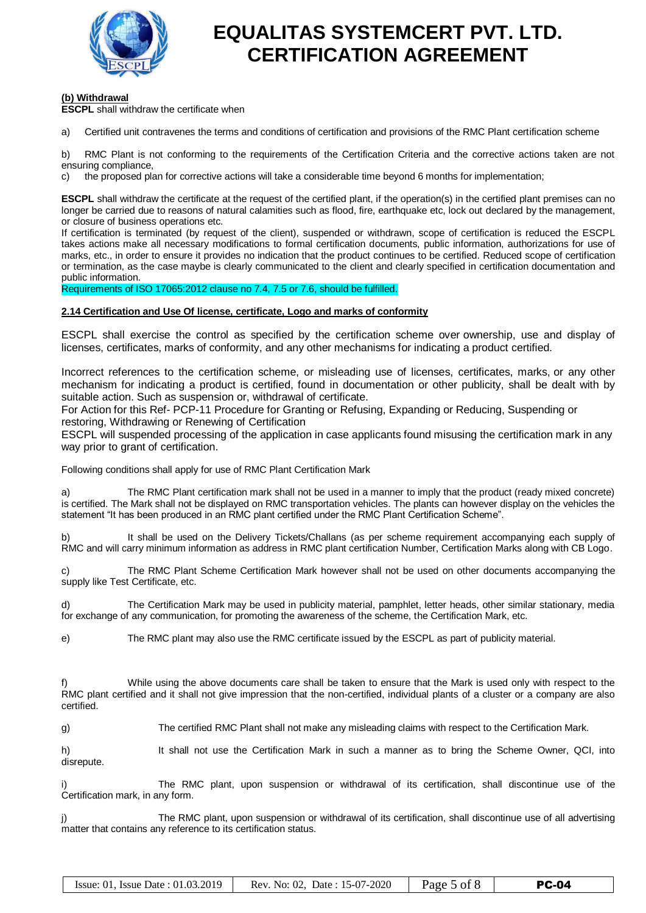

## **(b) Withdrawal**

**ESCPL** shall withdraw the certificate when

a) Certified unit contravenes the terms and conditions of certification and provisions of the RMC Plant certification scheme

b) RMC Plant is not conforming to the requirements of the Certification Criteria and the corrective actions taken are not ensuring compliance,

c) the proposed plan for corrective actions will take a considerable time beyond 6 months for implementation;

**ESCPL** shall withdraw the certificate at the request of the certified plant, if the operation(s) in the certified plant premises can no longer be carried due to reasons of natural calamities such as flood, fire, earthquake etc, lock out declared by the management, or closure of business operations etc.

If certification is terminated (by request of the client), suspended or withdrawn, scope of certification is reduced the ESCPL takes actions make all necessary modifications to formal certification documents, public information, authorizations for use of marks, etc., in order to ensure it provides no indication that the product continues to be certified. Reduced scope of certification or termination, as the case maybe is clearly communicated to the client and clearly specified in certification documentation and public information.

Requirements of ISO 17065:2012 clause no 7.4, 7.5 or 7.6, should be fulfilled.

### **2.14 Certification and Use Of license, certificate, Logo and marks of conformity**

ESCPL shall exercise the control as specified by the certification scheme over ownership, use and display of licenses, certificates, marks of conformity, and any other mechanisms for indicating a product certified.

Incorrect references to the certification scheme, or misleading use of licenses, certificates, marks, or any other mechanism for indicating a product is certified, found in documentation or other publicity, shall be dealt with by suitable action. Such as suspension or, withdrawal of certificate.

For Action for this Ref- PCP-11 Procedure for Granting or Refusing, Expanding or Reducing, Suspending or restoring, Withdrawing or Renewing of Certification

ESCPL will suspended processing of the application in case applicants found misusing the certification mark in any way prior to grant of certification.

Following conditions shall apply for use of RMC Plant Certification Mark

a) The RMC Plant certification mark shall not be used in a manner to imply that the product (ready mixed concrete) is certified. The Mark shall not be displayed on RMC transportation vehicles. The plants can however display on the vehicles the statement "It has been produced in an RMC plant certified under the RMC Plant Certification Scheme".

b) It shall be used on the Delivery Tickets/Challans (as per scheme requirement accompanying each supply of RMC and will carry minimum information as address in RMC plant certification Number, Certification Marks along with CB Logo.

c) The RMC Plant Scheme Certification Mark however shall not be used on other documents accompanying the supply like Test Certificate, etc.

d) The Certification Mark may be used in publicity material, pamphlet, letter heads, other similar stationary, media for exchange of any communication, for promoting the awareness of the scheme, the Certification Mark, etc.

e) The RMC plant may also use the RMC certificate issued by the ESCPL as part of publicity material.

f) While using the above documents care shall be taken to ensure that the Mark is used only with respect to the RMC plant certified and it shall not give impression that the non-certified, individual plants of a cluster or a company are also certified.

g) The certified RMC Plant shall not make any misleading claims with respect to the Certification Mark.

h) It shall not use the Certification Mark in such a manner as to bring the Scheme Owner, QCI, into disrepute.

i) The RMC plant, upon suspension or withdrawal of its certification, shall discontinue use of the Certification mark, in any form.

j) The RMC plant, upon suspension or withdrawal of its certification, shall discontinue use of all advertising matter that contains any reference to its certification status.

| Issue: 01. Issue Date: $01.03.2019$ | Rev. No: 02. Date: 15-07-2020 | Page 5 of 8 | <b>PC-04</b> |
|-------------------------------------|-------------------------------|-------------|--------------|
|-------------------------------------|-------------------------------|-------------|--------------|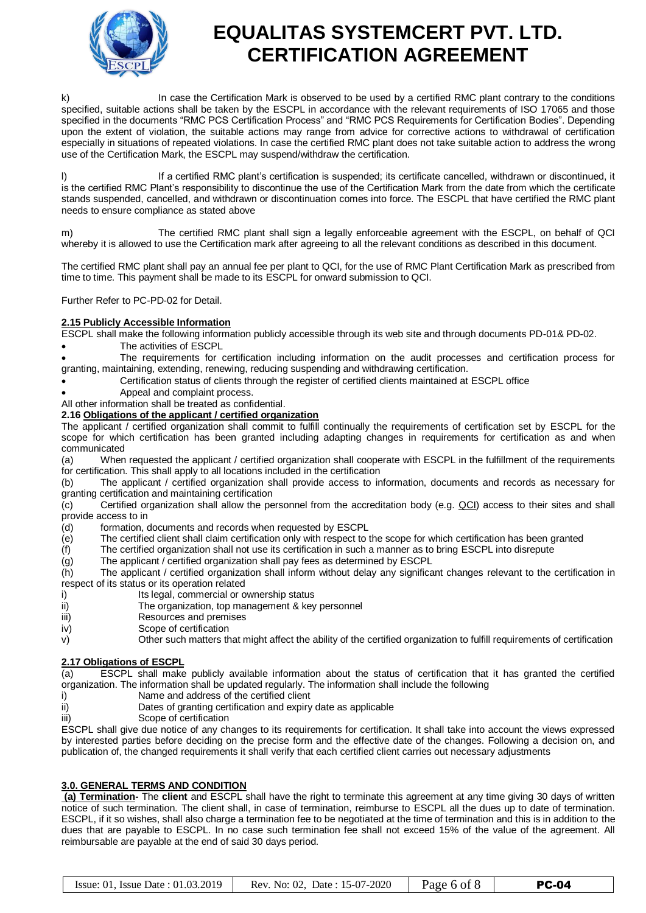

k) In case the Certification Mark is observed to be used by a certified RMC plant contrary to the conditions specified, suitable actions shall be taken by the ESCPL in accordance with the relevant requirements of ISO 17065 and those specified in the documents "RMC PCS Certification Process" and "RMC PCS Requirements for Certification Bodies". Depending upon the extent of violation, the suitable actions may range from advice for corrective actions to withdrawal of certification especially in situations of repeated violations. In case the certified RMC plant does not take suitable action to address the wrong use of the Certification Mark, the ESCPL may suspend/withdraw the certification.

l) If a certified RMC plant's certification is suspended; its certificate cancelled, withdrawn or discontinued, it is the certified RMC Plant's responsibility to discontinue the use of the Certification Mark from the date from which the certificate stands suspended, cancelled, and withdrawn or discontinuation comes into force. The ESCPL that have certified the RMC plant needs to ensure compliance as stated above

m) The certified RMC plant shall sign a legally enforceable agreement with the ESCPL, on behalf of QCI whereby it is allowed to use the Certification mark after agreeing to all the relevant conditions as described in this document.

The certified RMC plant shall pay an annual fee per plant to QCI, for the use of RMC Plant Certification Mark as prescribed from time to time. This payment shall be made to its ESCPL for onward submission to QCI.

Further Refer to PC-PD-02 for Detail.

## **2.15 Publicly Accessible Information**

ESCPL shall make the following information publicly accessible through its web site and through documents PD-01& PD-02.

The activities of ESCPL

 The requirements for certification including information on the audit processes and certification process for granting, maintaining, extending, renewing, reducing suspending and withdrawing certification.

- Certification status of clients through the register of certified clients maintained at ESCPL office
- Appeal and complaint process.
- All other information shall be treated as confidential.

## **2.16 Obligations of the applicant / certified organization**

The applicant / certified organization shall commit to fulfill continually the requirements of certification set by ESCPL for the scope for which certification has been granted including adapting changes in requirements for certification as and when communicated

(a) When requested the applicant / certified organization shall cooperate with ESCPL in the fulfillment of the requirements for certification. This shall apply to all locations included in the certification

(b) The applicant / certified organization shall provide access to information, documents and records as necessary for granting certification and maintaining certification

(c) Certified organization shall allow the personnel from the accreditation body (e.g. QCI) access to their sites and shall provide access to in

- (d) formation, documents and records when requested by ESCPL
- (e) The certified client shall claim certification only with respect to the scope for which certification has been granted
- (f) The certified organization shall not use its certification in such a manner as to bring ESCPL into disrepute
- (g) The applicant / certified organization shall pay fees as determined by ESCPL

(h) The applicant / certified organization shall inform without delay any significant changes relevant to the certification in respect of its status or its operation related

- i) Its legal, commercial or ownership status
- ii) The organization, top management & key personnel
- iii) Resources and premises
- iv) Scope of certification
- v) Other such matters that might affect the ability of the certified organization to fulfill requirements of certification

## **2.17 Obligations of ESCPL**

(a) ESCPL shall make publicly available information about the status of certification that it has granted the certified organization. The information shall be updated regularly. The information shall include the following

- i) Name and address of the certified client<br>ii) Dates of granting certification and expiry
- Dates of granting certification and expiry date as applicable
- iii) Scope of certification

ESCPL shall give due notice of any changes to its requirements for certification. It shall take into account the views expressed by interested parties before deciding on the precise form and the effective date of the changes. Following a decision on, and publication of, the changed requirements it shall verify that each certified client carries out necessary adjustments

## **3.0. GENERAL TERMS AND CONDITION**

**(a) Termination-** The **client** and ESCPL shall have the right to terminate this agreement at any time giving 30 days of written notice of such termination. The client shall, in case of termination, reimburse to ESCPL all the dues up to date of termination. ESCPL, if it so wishes, shall also charge a termination fee to be negotiated at the time of termination and this is in addition to the dues that are payable to ESCPL. In no case such termination fee shall not exceed 15% of the value of the agreement. All reimbursable are payable at the end of said 30 days period.

| Issue: 01. Issue Date: $01.03.2019$ | Rev. No: 02. Date: 15-07-2020 | Page 6 of 8 | <b>PC-04</b> |
|-------------------------------------|-------------------------------|-------------|--------------|
|-------------------------------------|-------------------------------|-------------|--------------|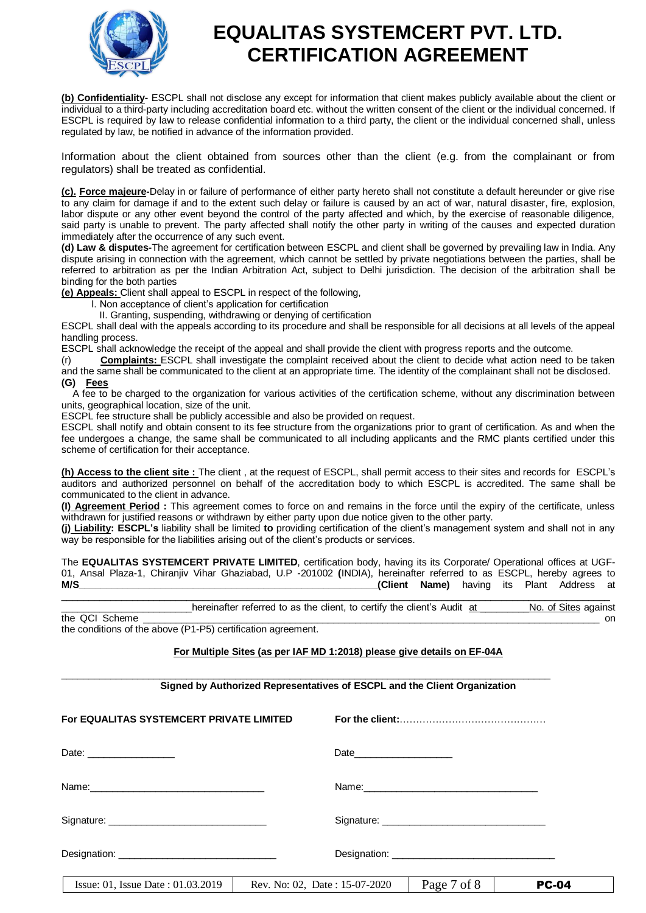

**(b) Confidentiality-** ESCPL shall not disclose any except for information that client makes publicly available about the client or individual to a third-party including accreditation board etc. without the written consent of the client or the individual concerned. If ESCPL is required by law to release confidential information to a third party, the client or the individual concerned shall, unless regulated by law, be notified in advance of the information provided.

Information about the client obtained from sources other than the client (e.g. from the complainant or from regulators) shall be treated as confidential.

**(c). Force majeure-**Delay in or failure of performance of either party hereto shall not constitute a default hereunder or give rise to any claim for damage if and to the extent such delay or failure is caused by an act of war, natural disaster, fire, explosion, labor dispute or any other event beyond the control of the party affected and which, by the exercise of reasonable diligence, said party is unable to prevent. The party affected shall notify the other party in writing of the causes and expected duration immediately after the occurrence of any such event.

**(d) Law & disputes-**The agreement for certification between ESCPL and client shall be governed by prevailing law in India. Any dispute arising in connection with the agreement, which cannot be settled by private negotiations between the parties, shall be referred to arbitration as per the Indian Arbitration Act, subject to Delhi jurisdiction. The decision of the arbitration shall be binding for the both parties

**(e) Appeals:** Client shall appeal to ESCPL in respect of the following,

- I. Non acceptance of client's application for certification
	- II. Granting, suspending, withdrawing or denying of certification

ESCPL shall deal with the appeals according to its procedure and shall be responsible for all decisions at all levels of the appeal handling process.

ESCPL shall acknowledge the receipt of the appeal and shall provide the client with progress reports and the outcome.

(r) **Complaints:** ESCPL shall investigate the complaint received about the client to decide what action need to be taken and the same shall be communicated to the client at an appropriate time. The identity of the complainant shall not be disclosed.

### **(G) Fees**

 A fee to be charged to the organization for various activities of the certification scheme, without any discrimination between units, geographical location, size of the unit.

ESCPL fee structure shall be publicly accessible and also be provided on request.

ESCPL shall notify and obtain consent to its fee structure from the organizations prior to grant of certification. As and when the fee undergoes a change, the same shall be communicated to all including applicants and the RMC plants certified under this scheme of certification for their acceptance.

**(h) Access to the client site :** The client , at the request of ESCPL, shall permit access to their sites and records for ESCPL's auditors and authorized personnel on behalf of the accreditation body to which ESCPL is accredited. The same shall be communicated to the client in advance.

**(I) Agreement Period :** This agreement comes to force on and remains in the force until the expiry of the certificate, unless withdrawn for justified reasons or withdrawn by either party upon due notice given to the other party.

**(j) Liability: ESCPL's** liability shall be limited **to** providing certification of the client's management system and shall not in any way be responsible for the liabilities arising out of the client's products or services.

The **EQUALITAS SYSTEMCERT PRIVATE LIMITED**, certification body, having its its Corporate/ Operational offices at UGF-01, Ansal Plaza-1, Chiranjiv Vihar Ghaziabad, U.P -201002 **(**INDIA), hereinafter referred to as ESCPL, hereby agrees to **M/S\_\_\_\_\_\_\_\_\_\_\_\_\_\_\_\_\_\_\_\_\_\_\_\_\_\_\_\_\_\_\_\_\_\_\_\_\_\_\_\_\_\_\_\_\_\_\_\_\_\_\_\_\_\_\_(Client Name)** having its Plant Address at \_\_\_\_\_\_\_\_\_\_\_\_\_\_\_\_\_\_\_\_\_\_\_\_\_\_\_\_\_\_\_\_\_\_\_\_\_\_\_\_\_\_\_\_\_\_\_\_\_\_\_\_\_\_\_\_\_\_\_\_\_\_\_\_\_\_\_\_\_\_\_\_\_\_\_\_\_\_\_\_\_\_\_\_\_\_\_\_\_\_\_\_\_\_\_\_\_\_\_\_\_

|                   | hereinafter referred to as the client, to certify the client's Audit | ∽t<br>No. of Sites |
|-------------------|----------------------------------------------------------------------|--------------------|
| the QCI<br>Scheme |                                                                      | on                 |

the conditions of the above (P1-P5) certification agreement.

## **For Multiple Sites (as per IAF MD 1:2018) please give details on EF-04A**

\_\_\_\_\_\_\_\_\_\_\_\_\_\_\_\_\_\_\_\_\_\_\_\_\_\_\_\_\_\_\_\_\_\_\_\_\_\_\_\_\_\_\_\_\_\_\_\_\_\_\_\_\_\_\_\_\_\_\_\_\_\_\_\_\_\_\_\_\_\_\_\_\_\_\_\_\_\_\_\_\_\_\_\_\_\_\_\_\_\_ **Signed by Authorized Representatives of ESCPL and the Client Organization** 

| For EQUALITAS SYSTEMCERT PRIVATE LIMITED                                        |                                                                                                                 |
|---------------------------------------------------------------------------------|-----------------------------------------------------------------------------------------------------------------|
| Date: ____________________                                                      |                                                                                                                 |
|                                                                                 |                                                                                                                 |
|                                                                                 |                                                                                                                 |
| the contract of the contract of the contract of the contract of the contract of | the contract of the contract of the contract of the contract of the contract of the contract of the contract of |